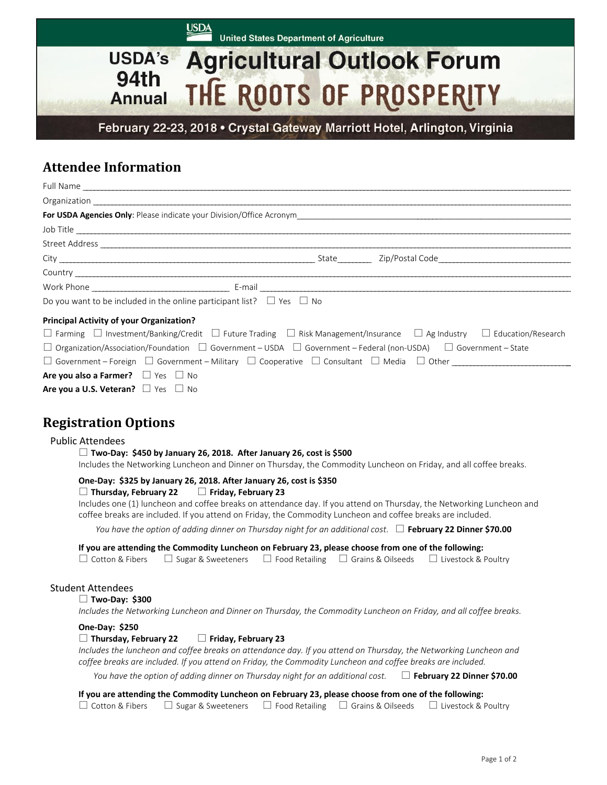**USDA United States Department of Agriculture** 

# **USDA's Agricultural Outlook Forum** 94th THE ROOTS OF PROSPERITY **Annual**

February 22-23, 2018 • Crystal Gateway Marriott Hotel, Arlington, Virginia

# **Attendee Information**

|                                                                                 | Full Name                                                                                                                                           |
|---------------------------------------------------------------------------------|-----------------------------------------------------------------------------------------------------------------------------------------------------|
|                                                                                 |                                                                                                                                                     |
|                                                                                 |                                                                                                                                                     |
|                                                                                 | Job Title                                                                                                                                           |
|                                                                                 |                                                                                                                                                     |
|                                                                                 |                                                                                                                                                     |
|                                                                                 |                                                                                                                                                     |
|                                                                                 |                                                                                                                                                     |
| Do you want to be included in the online participant list? $\Box$ Yes $\Box$ No |                                                                                                                                                     |
| <b>Principal Activity of your Organization?</b>                                 |                                                                                                                                                     |
|                                                                                 | $\Box$ Farming $\Box$ Investment/Banking/Credit $\Box$ Future Trading $\Box$ Risk Management/Insurance $\Box$ Ag Industry $\Box$ Education/Research |
|                                                                                 | $\Box$ Organization/Association/Foundation $\Box$ Government – USDA $\Box$ Government – Federal (non-USDA) $\Box$ Government – State                |
|                                                                                 | $\Box$ Government – Foreign $\Box$ Government – Military $\Box$ Cooperative $\Box$ Consultant $\Box$ Media $\Box$ Other                             |
| Are you also a Farmer? $\Box$ Yes $\Box$ No                                     |                                                                                                                                                     |

**Registration Options**

**Are you a U.S. Veteran?**  $\Box$  Yes  $\Box$  No

## Public Attendees

#### **Two-Day: \$450 by January 26, 2018. After January 26, cost is \$500**

Includes the Networking Luncheon and Dinner on Thursday, the Commodity Luncheon on Friday, and all coffee breaks.

# **One-Day: \$325 by January 26, 2018. After January 26, cost is \$350**

#### **Thursday, February 22 Friday, February 23**

 Includes one (1) luncheon and coffee breaks on attendance day. If you attend on Thursday, the Networking Luncheon and coffee breaks are included. If you attend on Friday, the Commodity Luncheon and coffee breaks are included.

*You have the option of adding dinner on Thursday night for an additional cost.*  $\Box$  **February 22 Dinner \$70.00** 

**If you are attending the Commodity Luncheon on February 23, please choose from one of the following:**

| $\Box$ Cotton & Fibers $\Box$ Sugar & Sweeteners $\Box$ Food Retailing $\Box$ Grains & Oilseeds $\Box$ Livestock & Poultry |  |  |
|----------------------------------------------------------------------------------------------------------------------------|--|--|

## Student Attendees

### **Two-Day: \$300**

*Includes the Networking Luncheon and Dinner on Thursday, the Commodity Luncheon on Friday, and all coffee breaks.* 

#### **One-Day: \$250**

#### **Thursday, February 22 Friday, February 23**

 *Includes the luncheon and coffee breaks on attendance day. If you attend on Thursday, the Networking Luncheon and coffee breaks are included. If you attend on Friday, the Commodity Luncheon and coffee breaks are included.* 

*You have the option of adding dinner on Thursday night for an additional cost.* **February 22 Dinner \$70.00**

**If you are attending the Commodity Luncheon on February 23, please choose from one of the following:**

 $\Box$  Cotton & Fibers  $\Box$  Sugar & Sweeteners  $\Box$  Food Retailing  $\Box$  Grains & Oilseeds  $\Box$  Livestock & Poultry